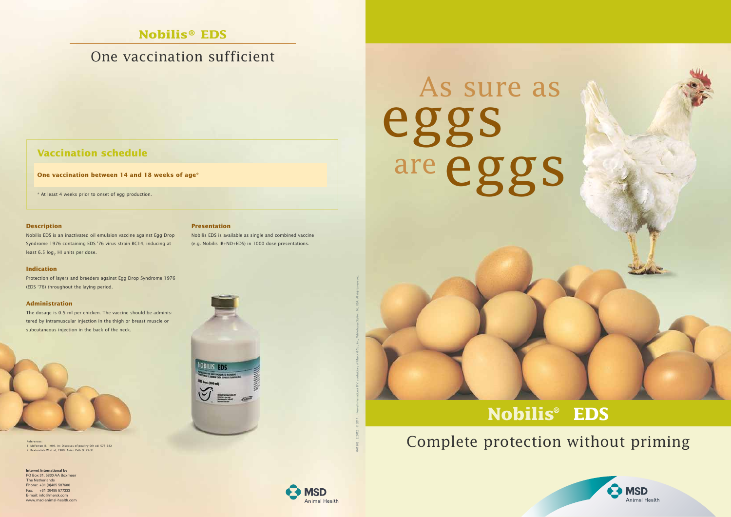## **Nobilis® EDS**

# One vaccination sufficient

# Complete protection without priming



# **Nobilis® EDS**

References: 1. McFerran JB, 1991. In: Diseases of poultry 9th ed: 573-582 2. Baxtendale W et al, 1980. Avian Path 9: 77-91

Nobilis EDS is an inactivated oil emulsion vaccine against Egg Drop Syndrome 1976 containing EDS '76 virus strain BC14, inducing at least 6.5  $log<sub>2</sub>$  HI units per dose.



**One vaccination between 14 and 18 weeks of age\***

\* At least 4 weeks prior to onset of egg production.

#### **Description**

### **Indication**

Protection of layers and breeders against Egg Drop Syndrome 1976 (EDS '76) throughout the laying period.

#### **Administration**

The dosage is 0.5 ml per chicken. The vaccine should be administered by intramuscular injection in the thigh or breast muscle or subcutaneous injection in the back of the neck.



**Presentation**

Nobilis EDS is available as single and combined vaccine (e.g. Nobilis IB+ND+EDS) in 1000 dose presentations.

**Intervet International bv** PO Box 31, 5830 AA Boxmee The Netherlands Phone: +31 (0)485 587600 Fax: +31 (0)485 577333 E-mail: info@merck.com www.msd-animal-health.com



061962 . 2.2012 . © 2011 . Intervet International B.V. a subsidiary of Merck & Co., Inc., Whitehouse Station, NJ, USA. All rights reserved.